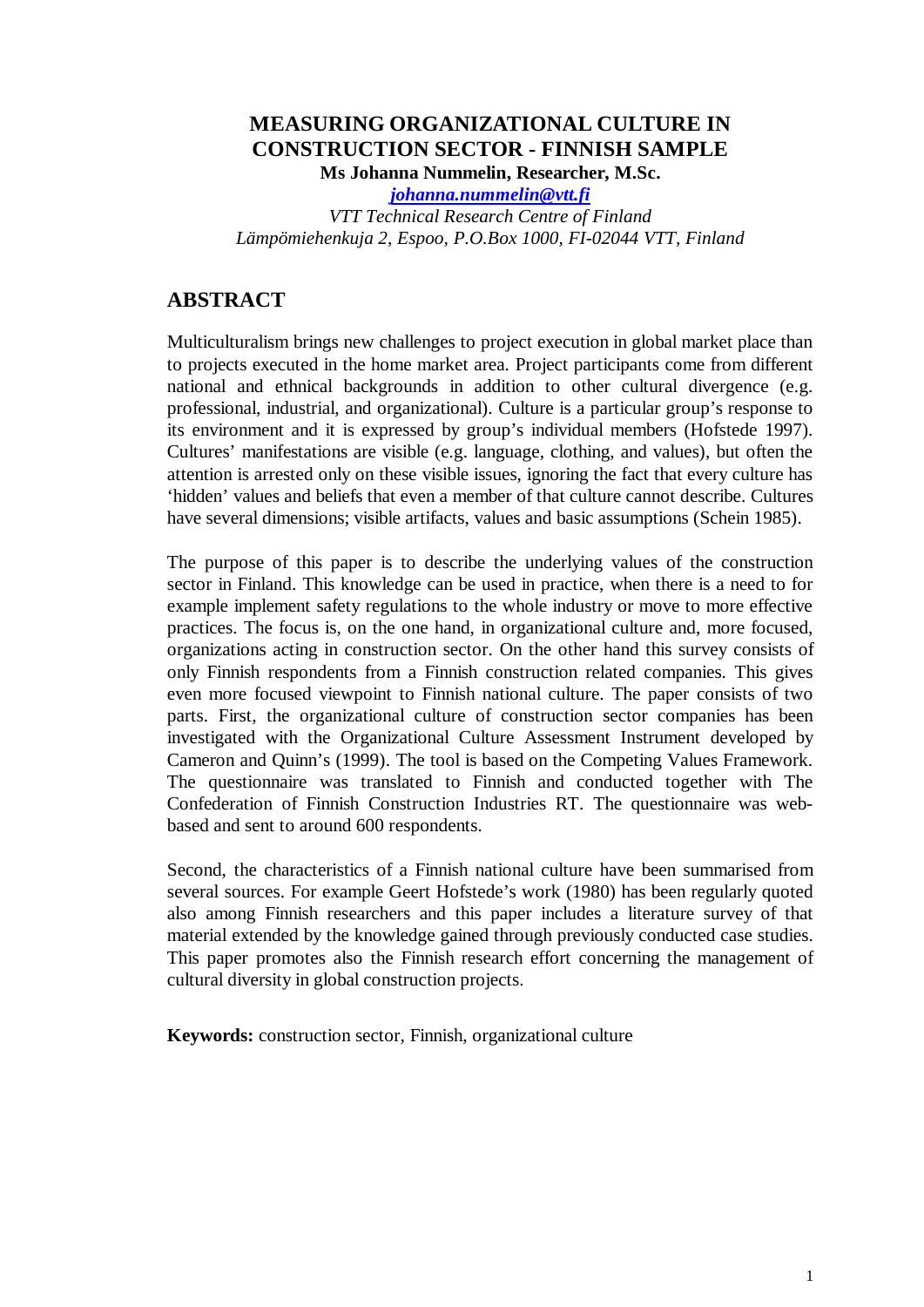# **MEASURING ORGANIZATIONAL CULTURE IN CONSTRUCTION SECTOR - FINNISH SAMPLE**

**Ms Johanna Nummelin, Researcher, M.Sc.**

*[johanna.nummelin@vtt.fi](mailto:johanna.nummelin@vtt.fi) VTT Technical Research Centre of Finland Lämpömiehenkuja 2, Espoo, P.O.Box 1000, FI-02044 VTT, Finland*

# **ABSTRACT**

Multiculturalism brings new challenges to project execution in global market place than to projects executed in the home market area. Project participants come from different national and ethnical backgrounds in addition to other cultural divergence (e.g. professional, industrial, and organizational). Culture is a particular group's response to its environment and it is expressed by group's individual members (Hofstede 1997). Cultures' manifestations are visible (e.g. language, clothing, and values), but often the attention is arrested only on these visible issues, ignoring the fact that every culture has 'hidden' values and beliefs that even a member of that culture cannot describe. Cultures have several dimensions; visible artifacts, values and basic assumptions (Schein 1985).

The purpose of this paper is to describe the underlying values of the construction sector in Finland. This knowledge can be used in practice, when there is a need to for example implement safety regulations to the whole industry or move to more effective practices. The focus is, on the one hand, in organizational culture and, more focused, organizations acting in construction sector. On the other hand this survey consists of only Finnish respondents from a Finnish construction related companies. This gives even more focused viewpoint to Finnish national culture. The paper consists of two parts. First, the organizational culture of construction sector companies has been investigated with the Organizational Culture Assessment Instrument developed by Cameron and Quinn's (1999). The tool is based on the Competing Values Framework. The questionnaire was translated to Finnish and conducted together with The Confederation of Finnish Construction Industries RT. The questionnaire was webbased and sent to around 600 respondents.

Second, the characteristics of a Finnish national culture have been summarised from several sources. For example Geert Hofstede's work (1980) has been regularly quoted also among Finnish researchers and this paper includes a literature survey of that material extended by the knowledge gained through previously conducted case studies. This paper promotes also the Finnish research effort concerning the management of cultural diversity in global construction projects.

**Keywords:** construction sector, Finnish, organizational culture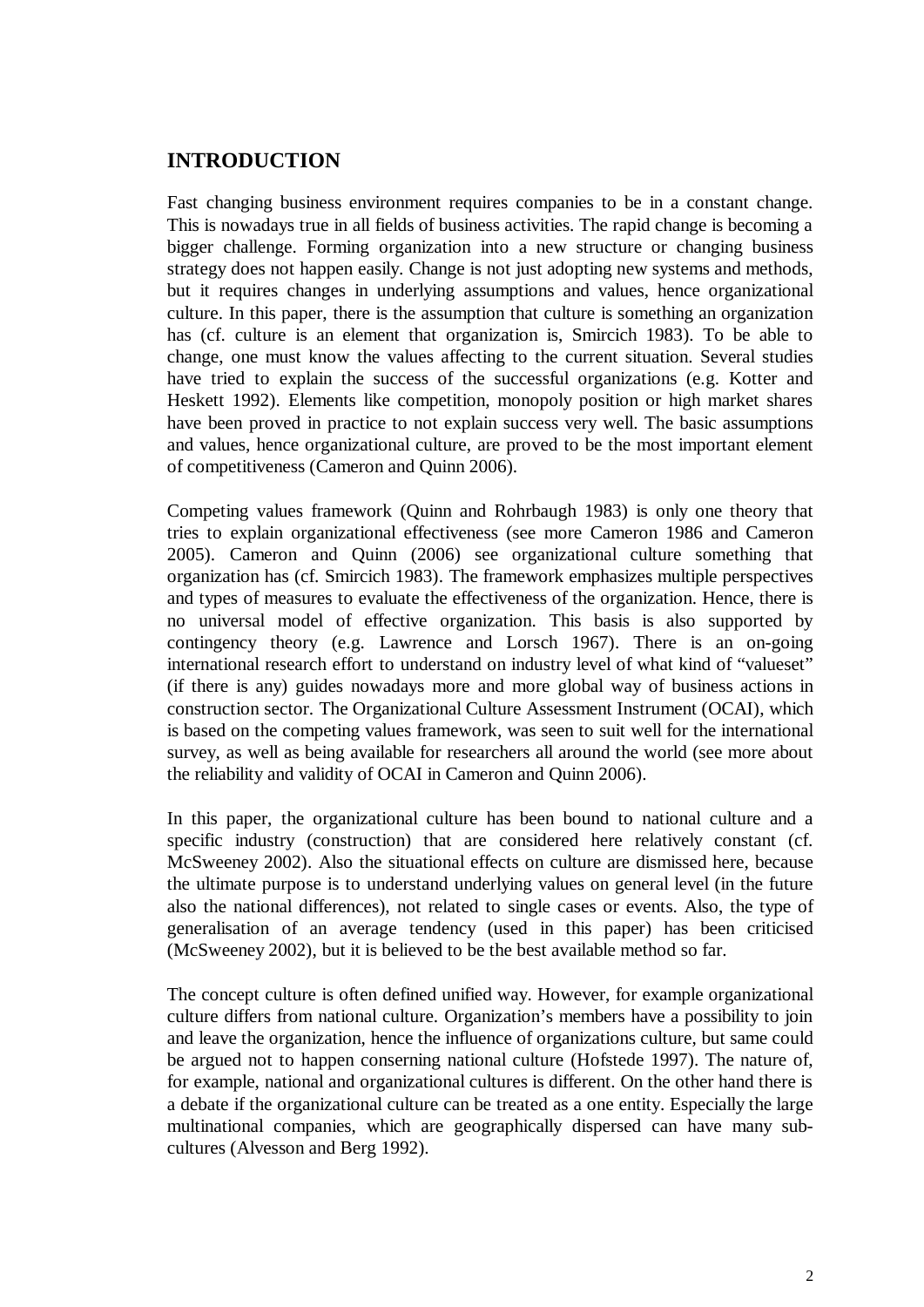## **INTRODUCTION**

Fast changing business environment requires companies to be in a constant change. This is nowadays true in all fields of business activities. The rapid change is becoming a bigger challenge. Forming organization into a new structure or changing business strategy does not happen easily. Change is not just adopting new systems and methods, but it requires changes in underlying assumptions and values, hence organizational culture. In this paper, there is the assumption that culture is something an organization has (cf. culture is an element that organization is, Smircich 1983). To be able to change, one must know the values affecting to the current situation. Several studies have tried to explain the success of the successful organizations (e.g. Kotter and Heskett 1992). Elements like competition, monopoly position or high market shares have been proved in practice to not explain success very well. The basic assumptions and values, hence organizational culture, are proved to be the most important element of competitiveness (Cameron and Quinn 2006).

Competing values framework (Quinn and Rohrbaugh 1983) is only one theory that tries to explain organizational effectiveness (see more Cameron 1986 and Cameron 2005). Cameron and Quinn (2006) see organizational culture something that organization has (cf. Smircich 1983). The framework emphasizes multiple perspectives and types of measures to evaluate the effectiveness of the organization. Hence, there is no universal model of effective organization. This basis is also supported by contingency theory (e.g. Lawrence and Lorsch 1967). There is an on-going international research effort to understand on industry level of what kind of "valueset" (if there is any) guides nowadays more and more global way of business actions in construction sector. The Organizational Culture Assessment Instrument (OCAI), which is based on the competing values framework, was seen to suit well for the international survey, as well as being available for researchers all around the world (see more about the reliability and validity of OCAI in Cameron and Quinn 2006).

In this paper, the organizational culture has been bound to national culture and a specific industry (construction) that are considered here relatively constant (cf. McSweeney 2002). Also the situational effects on culture are dismissed here, because the ultimate purpose is to understand underlying values on general level (in the future also the national differences), not related to single cases or events. Also, the type of generalisation of an average tendency (used in this paper) has been criticised (McSweeney 2002), but it is believed to be the best available method so far.

The concept culture is often defined unified way. However, for example organizational culture differs from national culture. Organization's members have a possibility to join and leave the organization, hence the influence of organizations culture, but same could be argued not to happen conserning national culture (Hofstede 1997). The nature of, for example, national and organizational cultures is different. On the other hand there is a debate if the organizational culture can be treated as a one entity. Especially the large multinational companies, which are geographically dispersed can have many subcultures (Alvesson and Berg 1992).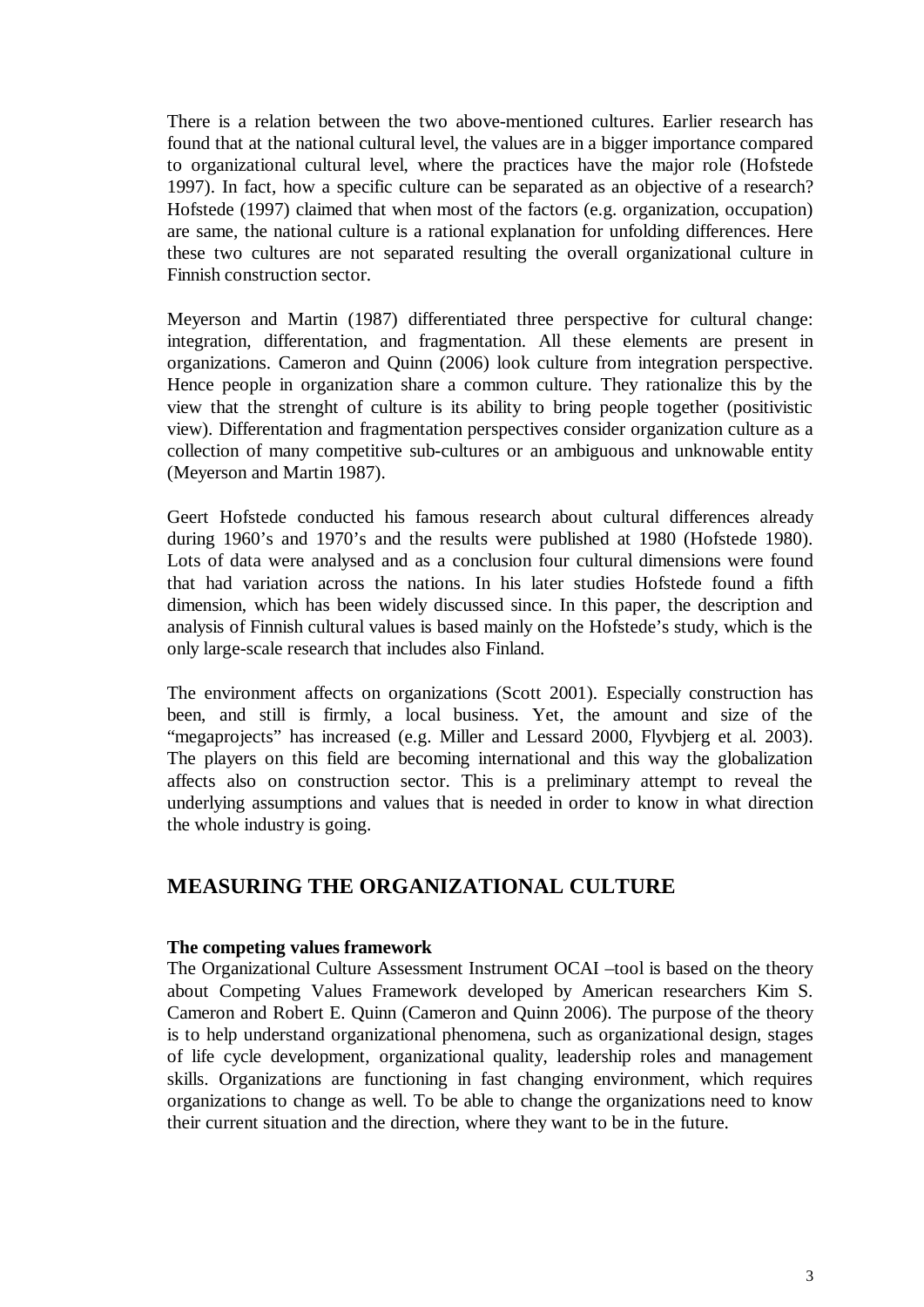There is a relation between the two above-mentioned cultures. Earlier research has found that at the national cultural level, the values are in a bigger importance compared to organizational cultural level, where the practices have the major role (Hofstede 1997). In fact, how a specific culture can be separated as an objective of a research? Hofstede (1997) claimed that when most of the factors (e.g. organization, occupation) are same, the national culture is a rational explanation for unfolding differences. Here these two cultures are not separated resulting the overall organizational culture in Finnish construction sector.

Meyerson and Martin (1987) differentiated three perspective for cultural change: integration, differentation, and fragmentation. All these elements are present in organizations. Cameron and Quinn (2006) look culture from integration perspective. Hence people in organization share a common culture. They rationalize this by the view that the strenght of culture is its ability to bring people together (positivistic view). Differentation and fragmentation perspectives consider organization culture as a collection of many competitive sub-cultures or an ambiguous and unknowable entity (Meyerson and Martin 1987).

Geert Hofstede conducted his famous research about cultural differences already during 1960's and 1970's and the results were published at 1980 (Hofstede 1980). Lots of data were analysed and as a conclusion four cultural dimensions were found that had variation across the nations. In his later studies Hofstede found a fifth dimension, which has been widely discussed since. In this paper, the description and analysis of Finnish cultural values is based mainly on the Hofstede's study, which is the only large-scale research that includes also Finland.

The environment affects on organizations (Scott 2001). Especially construction has been, and still is firmly, a local business. Yet, the amount and size of the "megaprojects" has increased (e.g. Miller and Lessard 2000, Flyvbjerg et al. 2003). The players on this field are becoming international and this way the globalization affects also on construction sector. This is a preliminary attempt to reveal the underlying assumptions and values that is needed in order to know in what direction the whole industry is going.

### **MEASURING THE ORGANIZATIONAL CULTURE**

#### **The competing values framework**

The Organizational Culture Assessment Instrument OCAI –tool is based on the theory about Competing Values Framework developed by American researchers Kim S. Cameron and Robert E. Quinn (Cameron and Quinn 2006). The purpose of the theory is to help understand organizational phenomena, such as organizational design, stages of life cycle development, organizational quality, leadership roles and management skills. Organizations are functioning in fast changing environment, which requires organizations to change as well. To be able to change the organizations need to know their current situation and the direction, where they want to be in the future.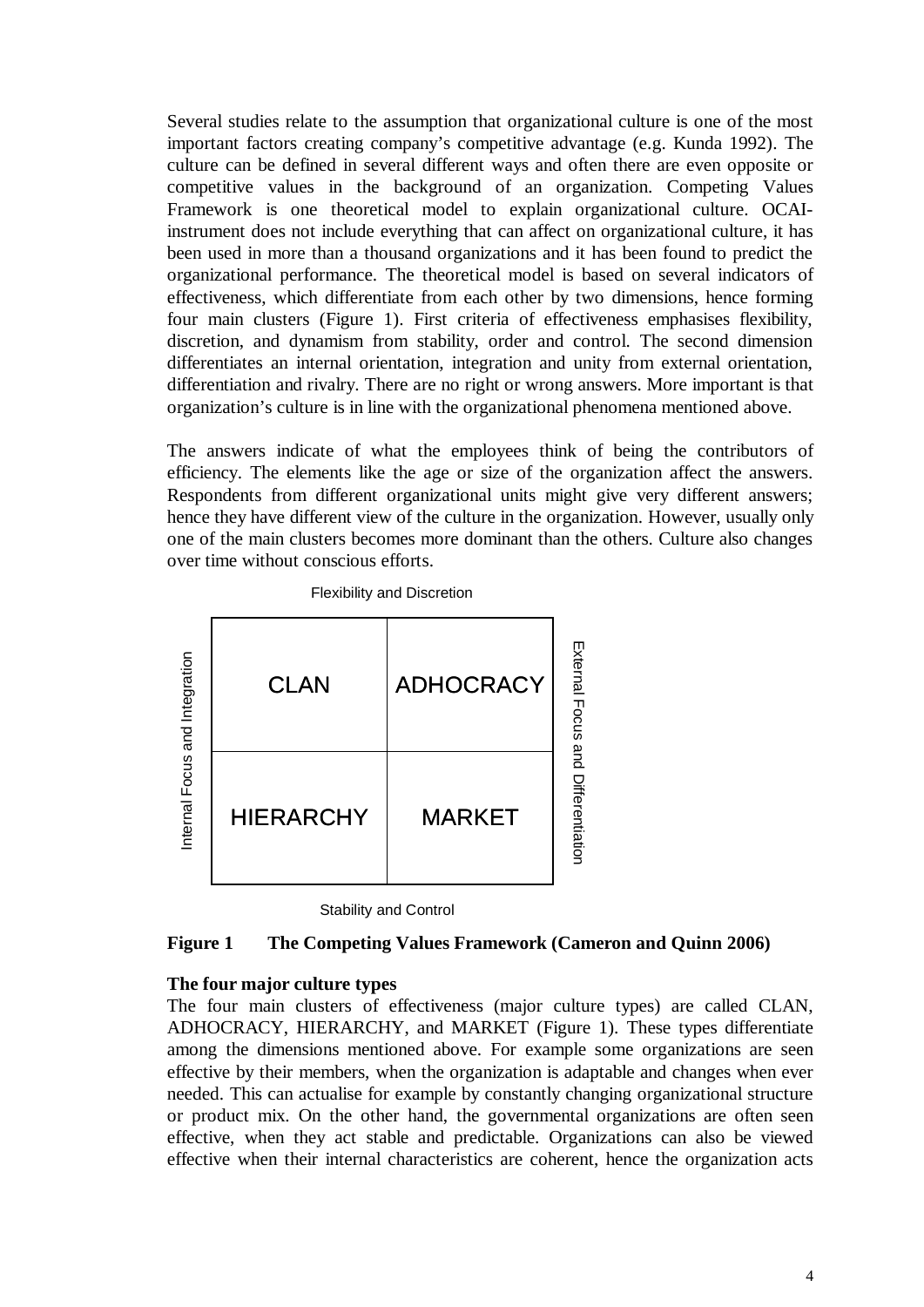Several studies relate to the assumption that organizational culture is one of the most important factors creating company's competitive advantage (e.g. Kunda 1992). The culture can be defined in several different ways and often there are even opposite or competitive values in the background of an organization. Competing Values Framework is one theoretical model to explain organizational culture. OCAIinstrument does not include everything that can affect on organizational culture, it has been used in more than a thousand organizations and it has been found to predict the organizational performance. The theoretical model is based on several indicators of effectiveness, which differentiate from each other by two dimensions, hence forming four main clusters (Figure 1). First criteria of effectiveness emphasises flexibility, discretion, and dynamism from stability, order and control. The second dimension differentiates an internal orientation, integration and unity from external orientation, differentiation and rivalry. There are no right or wrong answers. More important is that organization's culture is in line with the organizational phenomena mentioned above.

The answers indicate of what the employees think of being the contributors of efficiency. The elements like the age or size of the organization affect the answers. Respondents from different organizational units might give very different answers; hence they have different view of the culture in the organization. However, usually only one of the main clusters becomes more dominant than the others. Culture also changes over time without conscious efforts.





Stability and Control

#### **Figure 1 The Competing Values Framework (Cameron and Quinn 2006)**

#### **The four major culture types**

The four main clusters of effectiveness (major culture types) are called CLAN, ADHOCRACY, HIERARCHY, and MARKET (Figure 1). These types differentiate among the dimensions mentioned above. For example some organizations are seen effective by their members, when the organization is adaptable and changes when ever needed. This can actualise for example by constantly changing organizational structure or product mix. On the other hand, the governmental organizations are often seen effective, when they act stable and predictable. Organizations can also be viewed effective when their internal characteristics are coherent, hence the organization acts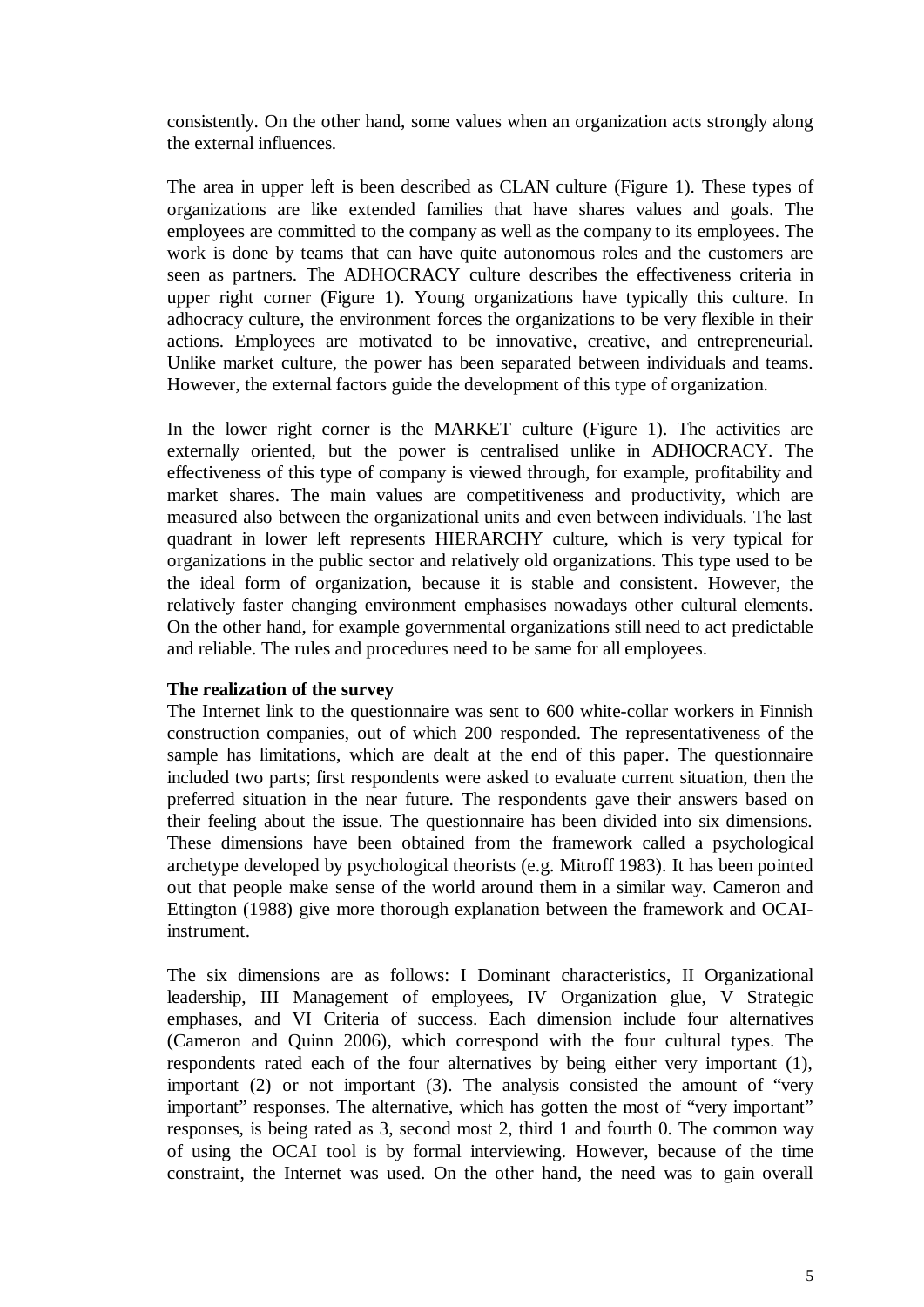consistently. On the other hand, some values when an organization acts strongly along the external influences.

The area in upper left is been described as CLAN culture (Figure 1). These types of organizations are like extended families that have shares values and goals. The employees are committed to the company as well as the company to its employees. The work is done by teams that can have quite autonomous roles and the customers are seen as partners. The ADHOCRACY culture describes the effectiveness criteria in upper right corner (Figure 1). Young organizations have typically this culture. In adhocracy culture, the environment forces the organizations to be very flexible in their actions. Employees are motivated to be innovative, creative, and entrepreneurial. Unlike market culture, the power has been separated between individuals and teams. However, the external factors guide the development of this type of organization.

In the lower right corner is the MARKET culture (Figure 1). The activities are externally oriented, but the power is centralised unlike in ADHOCRACY. The effectiveness of this type of company is viewed through, for example, profitability and market shares. The main values are competitiveness and productivity, which are measured also between the organizational units and even between individuals. The last quadrant in lower left represents HIERARCHY culture, which is very typical for organizations in the public sector and relatively old organizations. This type used to be the ideal form of organization, because it is stable and consistent. However, the relatively faster changing environment emphasises nowadays other cultural elements. On the other hand, for example governmental organizations still need to act predictable and reliable. The rules and procedures need to be same for all employees.

#### **The realization of the survey**

The Internet link to the questionnaire was sent to 600 white-collar workers in Finnish construction companies, out of which 200 responded. The representativeness of the sample has limitations, which are dealt at the end of this paper. The questionnaire included two parts; first respondents were asked to evaluate current situation, then the preferred situation in the near future. The respondents gave their answers based on their feeling about the issue. The questionnaire has been divided into six dimensions. These dimensions have been obtained from the framework called a psychological archetype developed by psychological theorists (e.g. Mitroff 1983). It has been pointed out that people make sense of the world around them in a similar way. Cameron and Ettington (1988) give more thorough explanation between the framework and OCAIinstrument.

The six dimensions are as follows: I Dominant characteristics, II Organizational leadership, III Management of employees, IV Organization glue, V Strategic emphases, and VI Criteria of success. Each dimension include four alternatives (Cameron and Quinn 2006), which correspond with the four cultural types. The respondents rated each of the four alternatives by being either very important (1), important (2) or not important (3). The analysis consisted the amount of "very important" responses. The alternative, which has gotten the most of "very important" responses, is being rated as 3, second most 2, third 1 and fourth 0. The common way of using the OCAI tool is by formal interviewing. However, because of the time constraint, the Internet was used. On the other hand, the need was to gain overall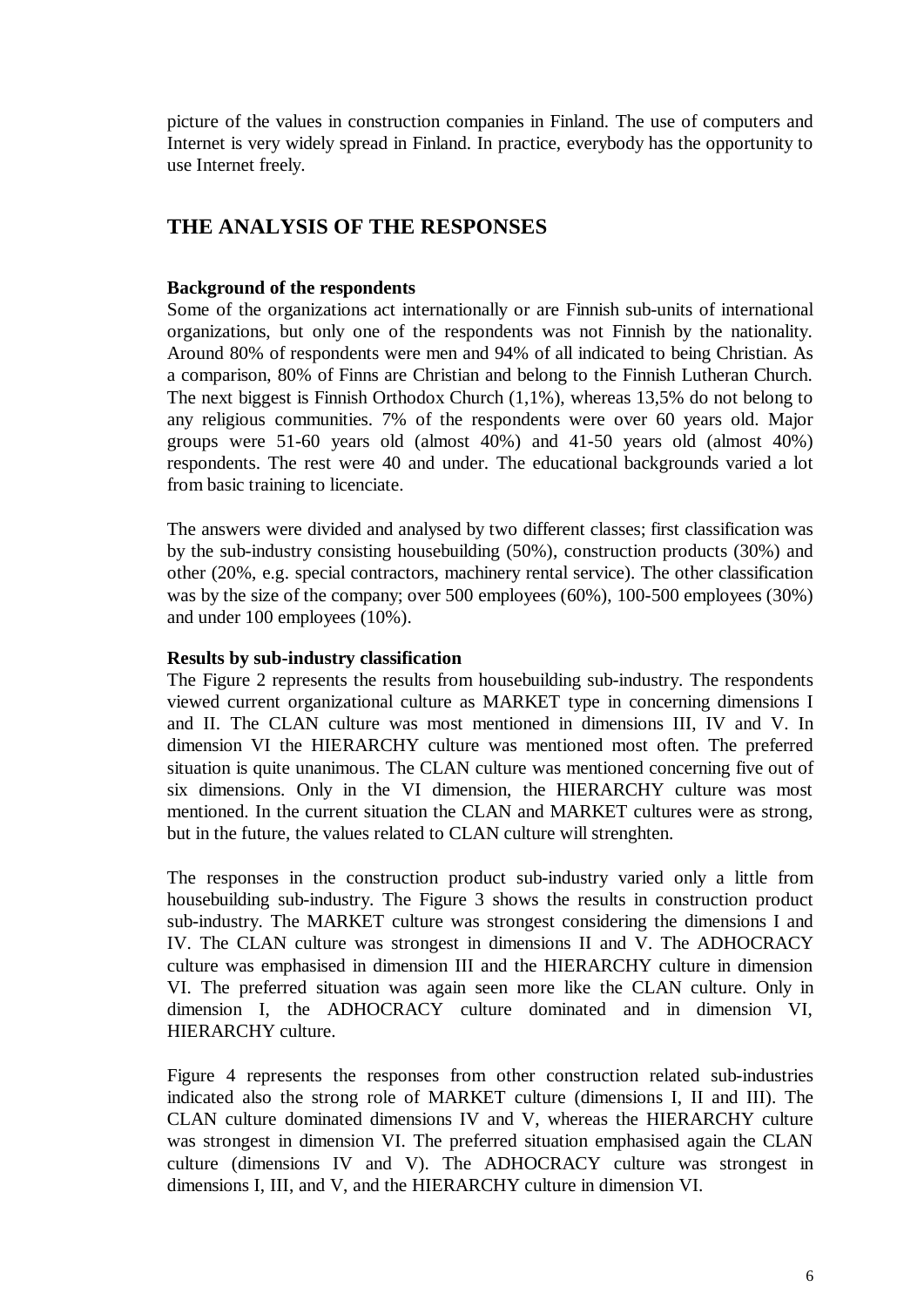picture of the values in construction companies in Finland. The use of computers and Internet is very widely spread in Finland. In practice, everybody has the opportunity to use Internet freely.

### **THE ANALYSIS OF THE RESPONSES**

### **Background of the respondents**

Some of the organizations act internationally or are Finnish sub-units of international organizations, but only one of the respondents was not Finnish by the nationality. Around 80% of respondents were men and 94% of all indicated to being Christian. As a comparison, 80% of Finns are Christian and belong to the Finnish Lutheran Church. The next biggest is Finnish Orthodox Church (1,1%), whereas 13,5% do not belong to any religious communities. 7% of the respondents were over 60 years old. Major groups were 51-60 years old (almost 40%) and 41-50 years old (almost 40%) respondents. The rest were 40 and under. The educational backgrounds varied a lot from basic training to licenciate.

The answers were divided and analysed by two different classes; first classification was by the sub-industry consisting housebuilding (50%), construction products (30%) and other (20%, e.g. special contractors, machinery rental service). The other classification was by the size of the company; over 500 employees (60%), 100-500 employees (30%) and under 100 employees (10%).

#### **Results by sub-industry classification**

The Figure 2 represents the results from housebuilding sub-industry. The respondents viewed current organizational culture as MARKET type in concerning dimensions I and II. The CLAN culture was most mentioned in dimensions III, IV and V. In dimension VI the HIERARCHY culture was mentioned most often. The preferred situation is quite unanimous. The CLAN culture was mentioned concerning five out of six dimensions. Only in the VI dimension, the HIERARCHY culture was most mentioned. In the current situation the CLAN and MARKET cultures were as strong, but in the future, the values related to CLAN culture will strenghten.

The responses in the construction product sub-industry varied only a little from housebuilding sub-industry. The Figure 3 shows the results in construction product sub-industry. The MARKET culture was strongest considering the dimensions I and IV. The CLAN culture was strongest in dimensions II and V. The ADHOCRACY culture was emphasised in dimension III and the HIERARCHY culture in dimension VI. The preferred situation was again seen more like the CLAN culture. Only in dimension I, the ADHOCRACY culture dominated and in dimension VI, HIERARCHY culture.

Figure 4 represents the responses from other construction related sub-industries indicated also the strong role of MARKET culture (dimensions I, II and III). The CLAN culture dominated dimensions IV and V, whereas the HIERARCHY culture was strongest in dimension VI. The preferred situation emphasised again the CLAN culture (dimensions IV and V). The ADHOCRACY culture was strongest in dimensions I, III, and V, and the HIERARCHY culture in dimension VI.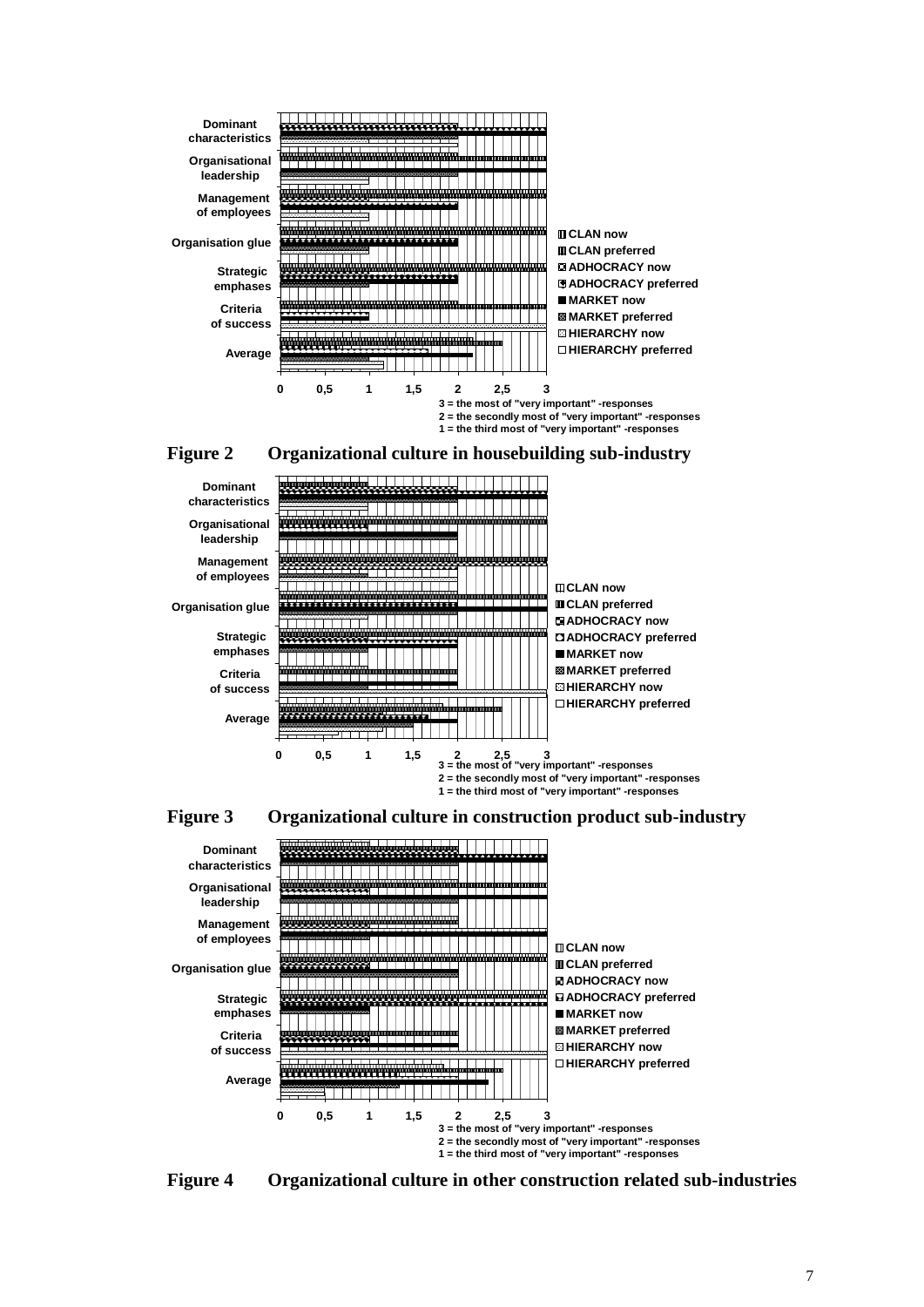

**Strategic emphases Criteria of success Average**

\_\_\_\_\_\_\_

اللائب والمساب

**3 = the most of "very important" -responses 2 = the secondly most of "very important" -responses 1 = the third most of "very important" -responses 0 0,5 1 1,5 2 2,5 3**

**ADHOCRACY preferred**

**MARKET now MARKET preferred HIERARCHY now HIERARCHY preferred**





**Figure 4 Organizational culture in other construction related sub-industries**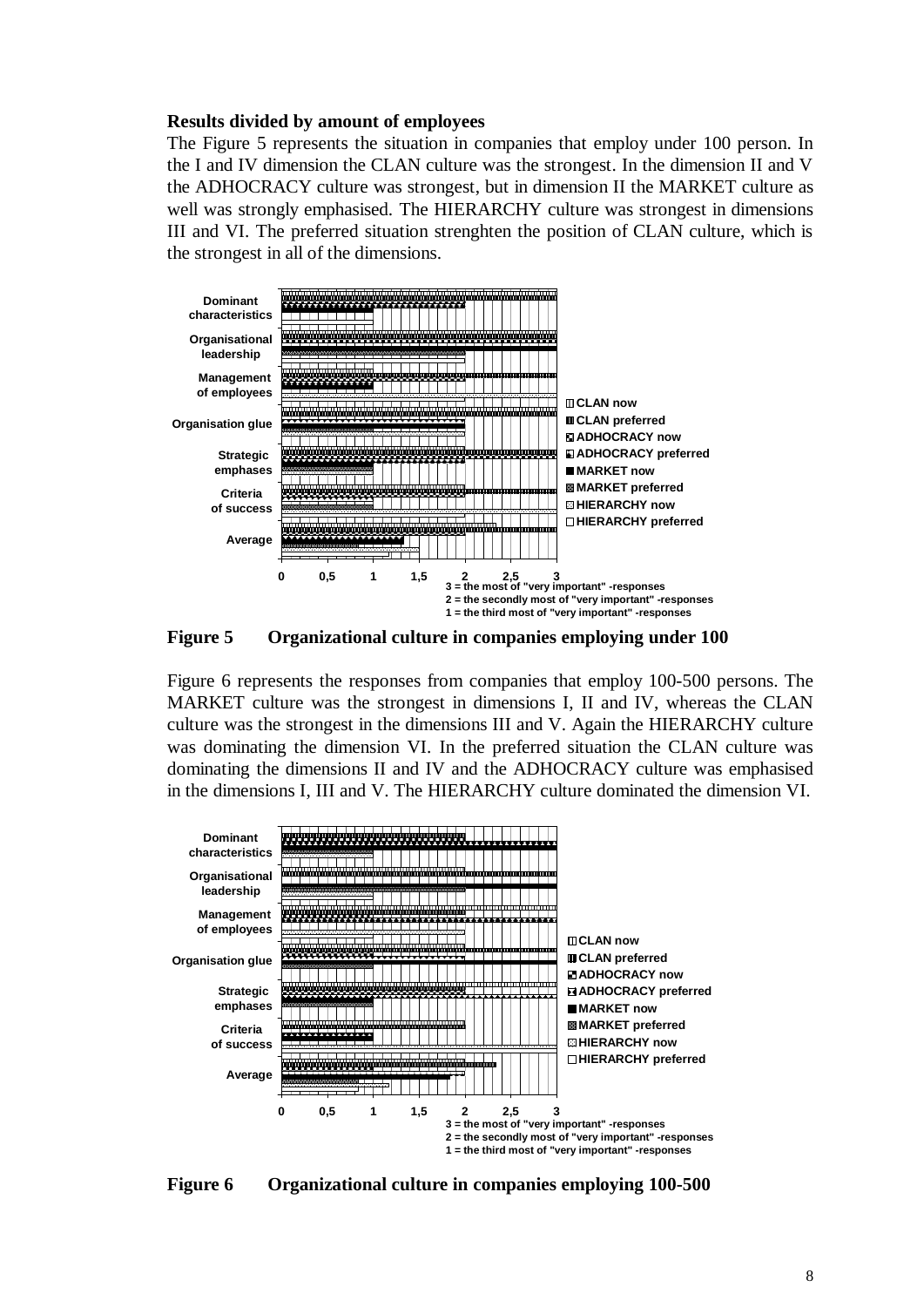#### **Results divided by amount of employees**

The Figure 5 represents the situation in companies that employ under 100 person. In the I and IV dimension the CLAN culture was the strongest. In the dimension II and V the ADHOCRACY culture was strongest, but in dimension II the MARKET culture as well was strongly emphasised. The HIERARCHY culture was strongest in dimensions III and VI. The preferred situation strenghten the position of CLAN culture, which is the strongest in all of the dimensions.



**Figure 5 Organizational culture in companies employing under 100**

Figure 6 represents the responses from companies that employ 100-500 persons. The MARKET culture was the strongest in dimensions I, II and IV, whereas the CLAN culture was the strongest in the dimensions III and V. Again the HIERARCHY culture was dominating the dimension VI. In the preferred situation the CLAN culture was dominating the dimensions II and IV and the ADHOCRACY culture was emphasised in the dimensions I, III and V. The HIERARCHY culture dominated the dimension VI.



**Figure 6 Organizational culture in companies employing 100-500**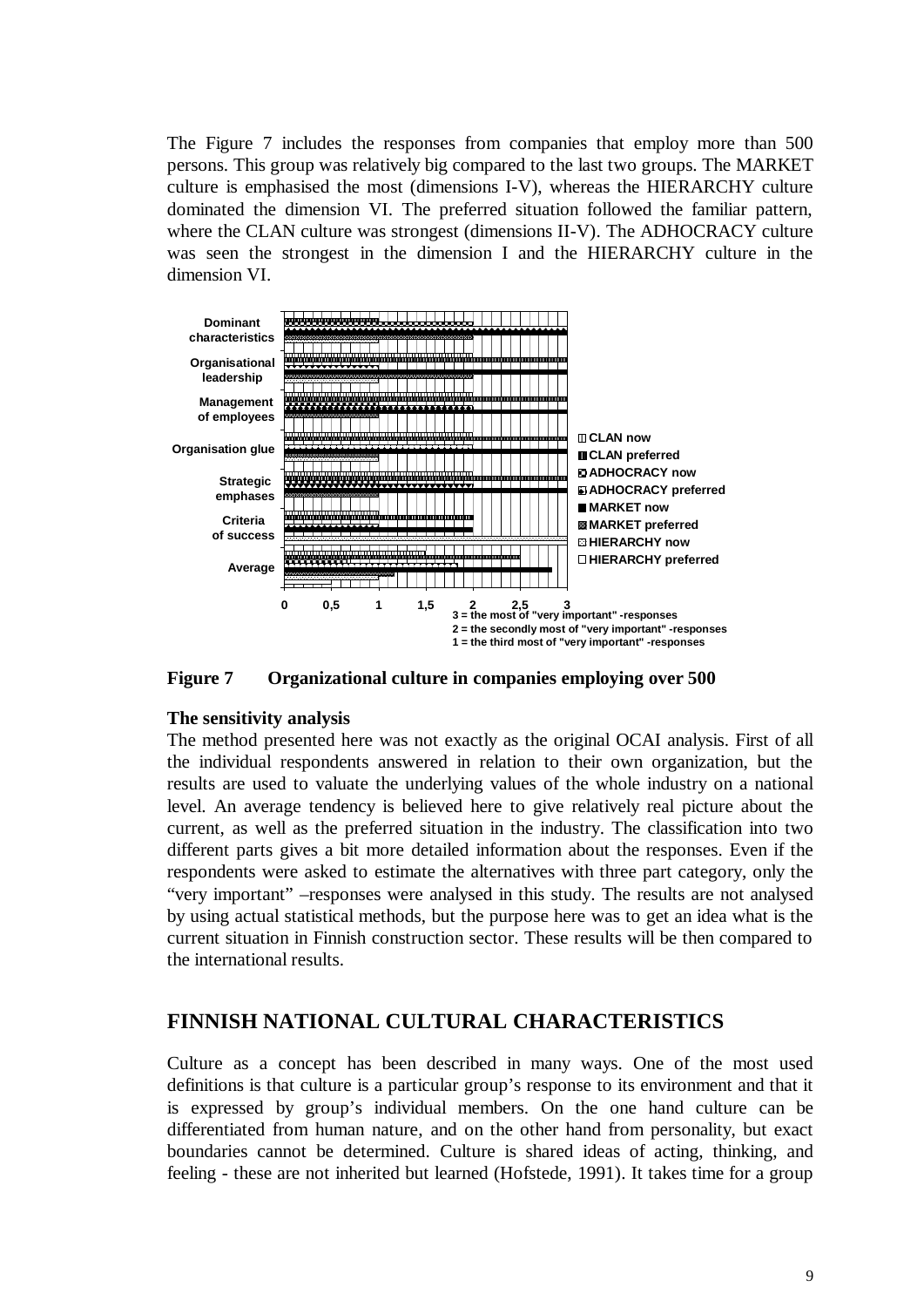The Figure 7 includes the responses from companies that employ more than 500 persons. This group was relatively big compared to the last two groups. The MARKET culture is emphasised the most (dimensions I-V), whereas the HIERARCHY culture dominated the dimension VI. The preferred situation followed the familiar pattern, where the CLAN culture was strongest (dimensions II-V). The ADHOCRACY culture was seen the strongest in the dimension I and the HIERARCHY culture in the dimension VI.



**Figure 7 Organizational culture in companies employing over 500**

#### **The sensitivity analysis**

The method presented here was not exactly as the original OCAI analysis. First of all the individual respondents answered in relation to their own organization, but the results are used to valuate the underlying values of the whole industry on a national level. An average tendency is believed here to give relatively real picture about the current, as well as the preferred situation in the industry. The classification into two different parts gives a bit more detailed information about the responses. Even if the respondents were asked to estimate the alternatives with three part category, only the "very important" –responses were analysed in this study. The results are not analysed by using actual statistical methods, but the purpose here was to get an idea what is the current situation in Finnish construction sector. These results will be then compared to the international results.

### **FINNISH NATIONAL CULTURAL CHARACTERISTICS**

Culture as a concept has been described in many ways. One of the most used definitions is that culture is a particular group's response to its environment and that it is expressed by group's individual members. On the one hand culture can be differentiated from human nature, and on the other hand from personality, but exact boundaries cannot be determined. Culture is shared ideas of acting, thinking, and feeling - these are not inherited but learned (Hofstede, 1991). It takes time for a group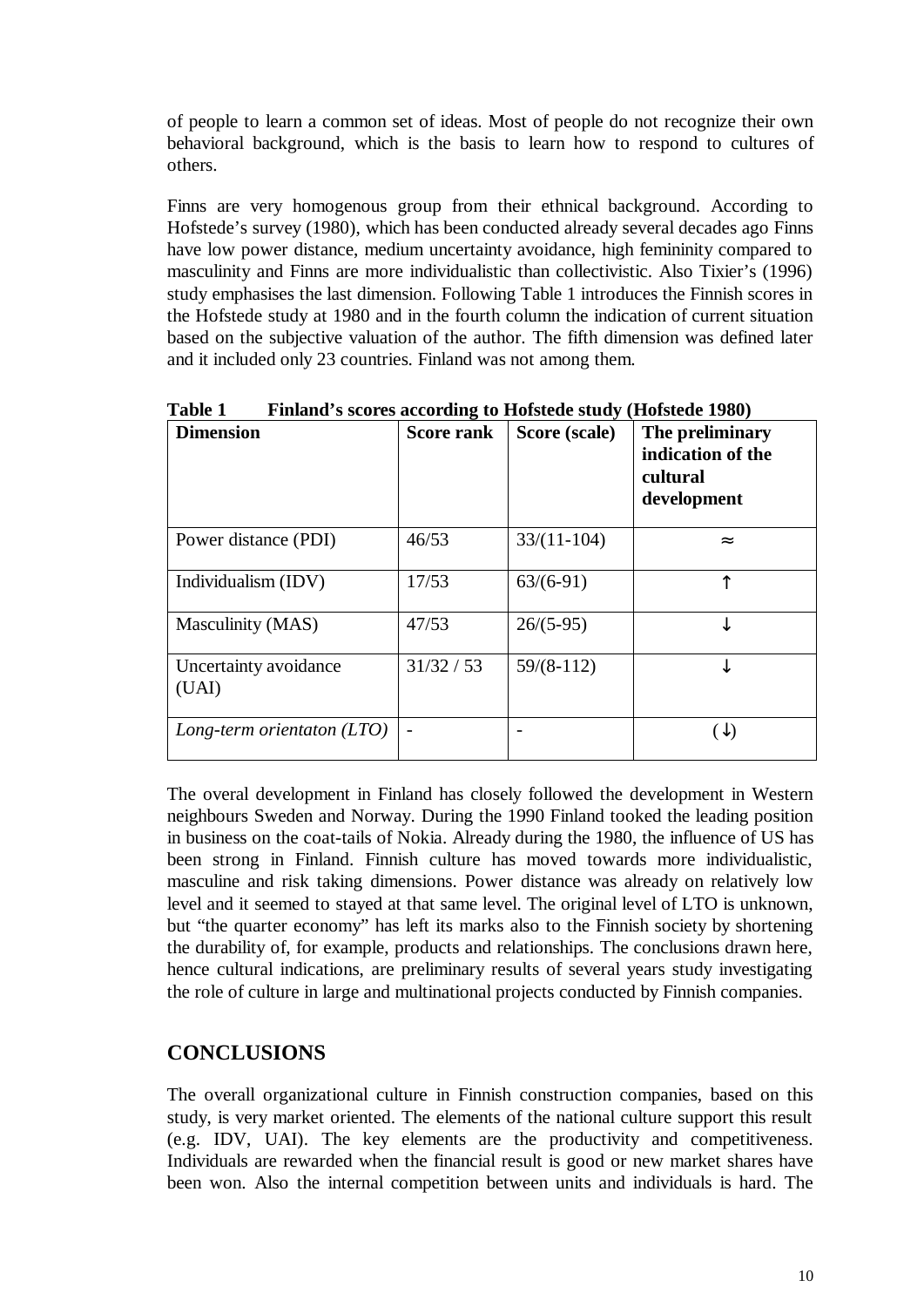of people to learn a common set of ideas. Most of people do not recognize their own behavioral background, which is the basis to learn how to respond to cultures of others.

Finns are very homogenous group from their ethnical background. According to Hofstede's survey (1980), which has been conducted already several decades ago Finns have low power distance, medium uncertainty avoidance, high femininity compared to masculinity and Finns are more individualistic than collectivistic. Also Tixier's (1996) study emphasises the last dimension. Following Table 1 introduces the Finnish scores in the Hofstede study at 1980 and in the fourth column the indication of current situation based on the subjective valuation of the author. The fifth dimension was defined later and it included only 23 countries. Finland was not among them.

| <b>Dimension</b>               | <b>Score rank</b> | Score (scale) | The preliminary<br>indication of the<br>cultural<br>development |
|--------------------------------|-------------------|---------------|-----------------------------------------------------------------|
| Power distance (PDI)           | 46/53             | $33/(11-104)$ | $\approx$                                                       |
| Individualism (IDV)            | 17/53             | $63/(6-91)$   |                                                                 |
| Masculinity (MAS)              | 47/53             | $26/(5-95)$   |                                                                 |
| Uncertainty avoidance<br>(UAI) | 31/32 / 53        | $59/(8-112)$  |                                                                 |
| Long-term orientaton $(LTO)$   |                   |               | ั↓                                                              |

**Table 1 Finland's scores according to Hofstede study (Hofstede 1980)**

The overal development in Finland has closely followed the development in Western neighbours Sweden and Norway. During the 1990 Finland tooked the leading position in business on the coat-tails of Nokia. Already during the 1980, the influence of US has been strong in Finland. Finnish culture has moved towards more individualistic, masculine and risk taking dimensions. Power distance was already on relatively low level and it seemed to stayed at that same level. The original level of LTO is unknown, but "the quarter economy" has left its marks also to the Finnish society by shortening the durability of, for example, products and relationships. The conclusions drawn here, hence cultural indications, are preliminary results of several years study investigating the role of culture in large and multinational projects conducted by Finnish companies.

# **CONCLUSIONS**

The overall organizational culture in Finnish construction companies, based on this study, is very market oriented. The elements of the national culture support this result (e.g. IDV, UAI). The key elements are the productivity and competitiveness. Individuals are rewarded when the financial result is good or new market shares have been won. Also the internal competition between units and individuals is hard. The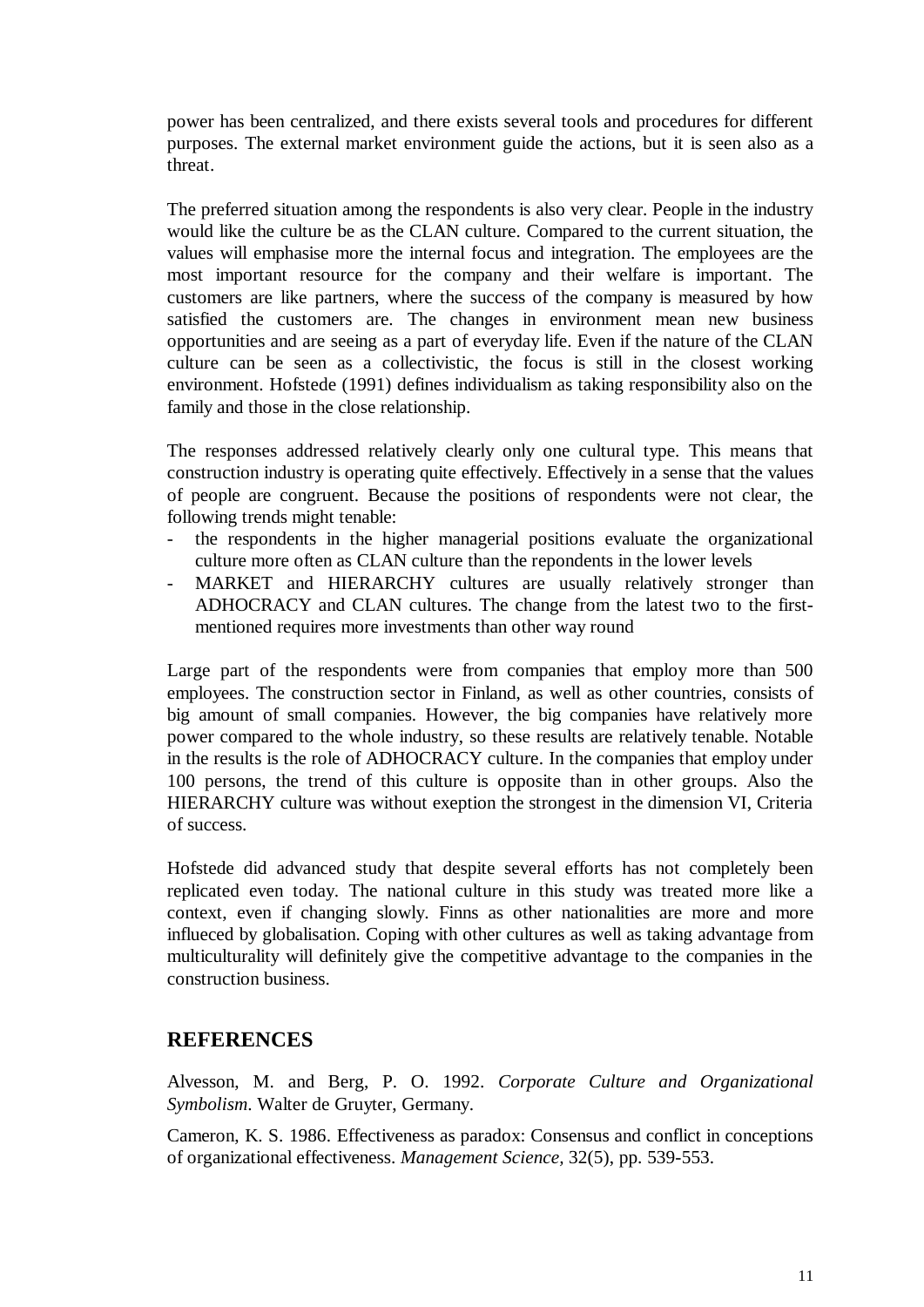power has been centralized, and there exists several tools and procedures for different purposes. The external market environment guide the actions, but it is seen also as a threat.

The preferred situation among the respondents is also very clear. People in the industry would like the culture be as the CLAN culture. Compared to the current situation, the values will emphasise more the internal focus and integration. The employees are the most important resource for the company and their welfare is important. The customers are like partners, where the success of the company is measured by how satisfied the customers are. The changes in environment mean new business opportunities and are seeing as a part of everyday life. Even if the nature of the CLAN culture can be seen as a collectivistic, the focus is still in the closest working environment. Hofstede (1991) defines individualism as taking responsibility also on the family and those in the close relationship.

The responses addressed relatively clearly only one cultural type. This means that construction industry is operating quite effectively. Effectively in a sense that the values of people are congruent. Because the positions of respondents were not clear, the following trends might tenable:

- the respondents in the higher managerial positions evaluate the organizational culture more often as CLAN culture than the repondents in the lower levels
- MARKET and HIERARCHY cultures are usually relatively stronger than ADHOCRACY and CLAN cultures. The change from the latest two to the firstmentioned requires more investments than other way round

Large part of the respondents were from companies that employ more than 500 employees. The construction sector in Finland, as well as other countries, consists of big amount of small companies. However, the big companies have relatively more power compared to the whole industry, so these results are relatively tenable. Notable in the results is the role of ADHOCRACY culture. In the companies that employ under 100 persons, the trend of this culture is opposite than in other groups. Also the HIERARCHY culture was without exeption the strongest in the dimension VI, Criteria of success.

Hofstede did advanced study that despite several efforts has not completely been replicated even today. The national culture in this study was treated more like a context, even if changing slowly. Finns as other nationalities are more and more influeced by globalisation. Coping with other cultures as well as taking advantage from multiculturality will definitely give the competitive advantage to the companies in the construction business.

### **REFERENCES**

Alvesson, M. and Berg, P. O. 1992. *Corporate Culture and Organizational Symbolism*. Walter de Gruyter, Germany.

Cameron, K. S. 1986. Effectiveness as paradox: Consensus and conflict in conceptions of organizational effectiveness. *Management Science,* 32(5), pp. 539-553.